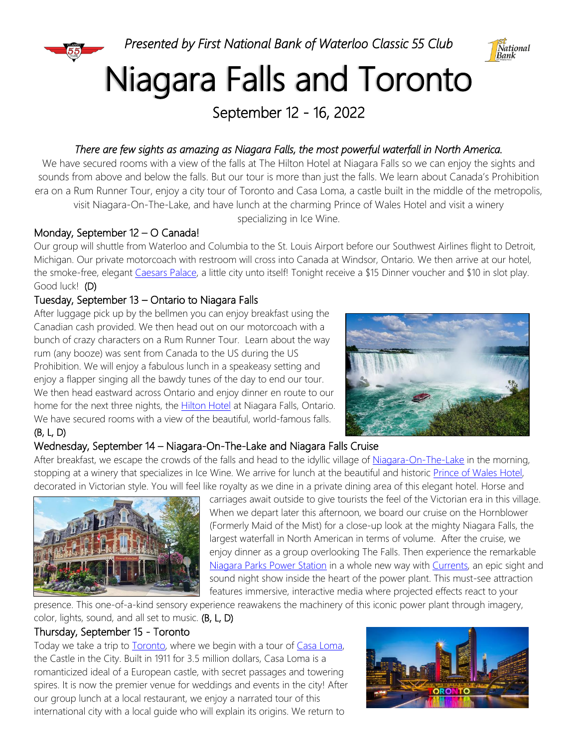

# Niagara Falls and Toronto

September 12 - 16, 2022

# *There are few sights as amazing as Niagara Falls, the most powerful waterfall in North America.*

We have secured rooms with a view of the falls at The Hilton Hotel at Niagara Falls so we can enjoy the sights and sounds from above and below the falls. But our tour is more than just the falls. We learn about Canada's Prohibition era on a Rum Runner Tour, enjoy a city tour of Toronto and Casa Loma, a castle built in the middle of the metropolis, visit Niagara-On-The-Lake, and have lunch at the charming Prince of Wales Hotel and visit a winery

specializing in Ice Wine.

# Monday, September 12 – O Canada!

Our group will shuttle from Waterloo and Columbia to the St. Louis Airport before our Southwest Airlines flight to Detroit, Michigan. Our private motorcoach with restroom will cross into Canada at Windsor, Ontario. We then arrive at our hotel, the smoke-free, elegant [Caesars Palace,](https://www.caesars.com/caesars-windsor/hotel) a little city unto itself! Tonight receive a \$15 Dinner voucher and \$10 in slot play. Good luck! (D)

# Tuesday, September 13 – Ontario to Niagara Falls

After luggage pick up by the bellmen you can enjoy breakfast using the Canadian cash provided. We then head out on our motorcoach with a bunch of crazy characters on a Rum Runner Tour. Learn about the way rum (any booze) was sent from Canada to the US during the US Prohibition. We will enjoy a fabulous lunch in a speakeasy setting and enjoy a flapper singing all the bawdy tunes of the day to end our tour. We then head eastward across Ontario and enjoy dinner en route to our home for the next three nights, the [Hilton Hotel](https://www.hilton.com/en/hotels/xlvnfhf-hilton-niagara-falls-fallsview-hotel-and-suites/) at Niagara Falls, Ontario. We have secured rooms with a view of the beautiful, world-famous falls. (B, L, D)



# Wednesday, September 14 – Niagara-On-The-Lake and Niagara Falls Cruise

After breakfast, we escape the crowds of the falls and head to the idyllic village o[f Niagara-On-The-Lake](https://www.niagaraonthelake.com/attraction) in the morning, stopping at a winery that specializes in Ice Wine. We arrive for lunch at the beautiful and historic [Prince of Wales Hotel,](https://www.vintage-hotels.com/prince-of-wales/) decorated in Victorian style. You will feel like royalty as we dine in a private dining area of this elegant hotel. Horse and



carriages await outside to give tourists the feel of the Victorian era in this village. When we depart later this afternoon, we board our cruise on the Hornblower (Formerly Maid of the Mist) for a close-up look at the mighty Niagara Falls, the largest waterfall in North American in terms of volume. After the cruise, we enjoy dinner as a group overlooking The Falls. Then experience the remarkable [Niagara Parks Power Station](https://www.niagaraparks.com/visit/attractions/niagara-parks-power-station) in a whole new way with [Currents,](https://www.niagaraparks.com/visit/attractions/currents-niagara-night-show) an epic sight and sound night show inside the heart of the power plant. This must-see attraction features immersive, interactive media where projected effects react to your

presence. This one-of-a-kind sensory experience reawakens the machinery of this iconic power plant through imagery, color, lights, sound, and all set to music. (B, L, D)

# Thursday, September 15 - Toronto

Today we take a trip to **Toronto**, where we begin with a tour of [Casa Loma,](https://casaloma.ca/about/) the Castle in the City. Built in 1911 for 3.5 million dollars, Casa Loma is a romanticized ideal of a European castle, with secret passages and towering spires. It is now the premier venue for weddings and events in the city! After our group lunch at a local restaurant, we enjoy a narrated tour of this international city with a local guide who will explain its origins. We return to

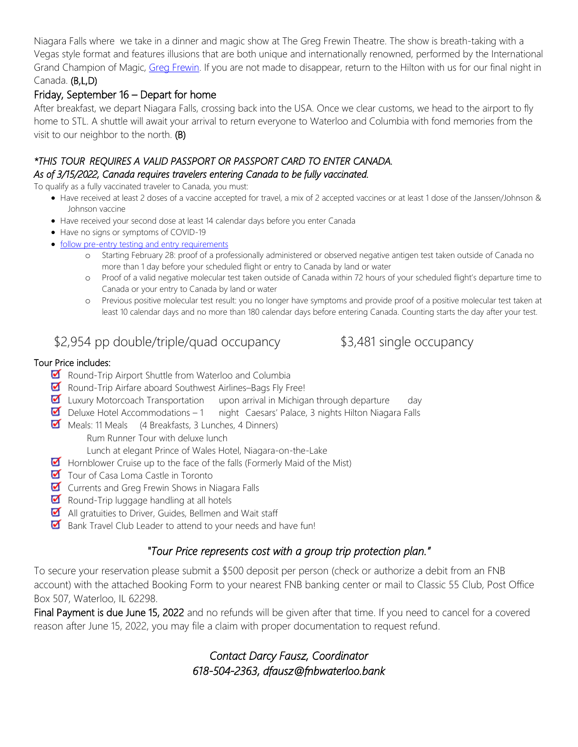Niagara Falls where we take in a dinner and magic show at The Greg Frewin Theatre. The show is breath-taking with a Vegas style format and features illusions that are both unique and internationally renowned, performed by the International Grand Champion of Magic, [Greg Frewin.](https://www.gregfrewintheatre.com/about.html#meetgregfrewin) If you are not made to disappear, return to the Hilton with us for our final night in Canada. (B,L,D)

## Friday, September 16 – Depart for home

After breakfast, we depart Niagara Falls, crossing back into the USA. Once we clear customs, we head to the airport to fly home to STL. A shuttle will await your arrival to return everyone to Waterloo and Columbia with fond memories from the visit to our neighbor to the north. (B)

### *\*THIS TOUR REQUIRES A VALID PASSPORT OR PASSPORT CARD TO ENTER CANADA. As of 3/15/2022, Canada requires travelers entering Canada to be fully vaccinated.*

To qualify as a fully vaccinated traveler to Canada, you must:

- Have received at least 2 doses of a vaccine accepted for travel, a mix of 2 accepted vaccines or at least 1 dose of the Janssen/Johnson & Johnson vaccine
- Have received your second dose at least 14 calendar days before you enter Canada
- Have no signs or symptoms of COVID-19
- [follow pre-entry testing and entry requirements](https://travel.gc.ca/travel-covid/travel-restrictions/covid-vaccinated-travellers-entering-canada#pre-entry-testing)
	- o Starting February 28: proof of a professionally administered or observed negative antigen test taken outside of Canada no more than 1 day before your scheduled flight or entry to Canada by land or water
	- o Proof of a valid negative molecular test taken outside of Canada within 72 hours of your scheduled flight's departure time to Canada or your entry to Canada by land or water
	- o Previous positive molecular test result: you no longer have symptoms and provide proof of a positive molecular test taken at least 10 calendar days and no more than 180 calendar days before entering Canada. Counting starts the day after your test.

# \$2,954 pp double/triple/quad occupancy \$3,481 single occupancy

### Tour Price includes:

- Round-Trip Airport Shuttle from Waterloo and Columbia
- Round-Trip Airfare aboard Southwest Airlines–Bags Fly Free!
- **Luxury Motorcoach Transportation** upon arrival in Michigan through departure day
- $\blacksquare$  Deluxe Hotel Accommodations 1 night Caesars' Palace, 3 nights Hilton Niagara Falls
- Meals: 11 Meals (4 Breakfasts, 3 Lunches, 4 Dinners) Rum Runner Tour with deluxe lunch

Lunch at elegant Prince of Wales Hotel, Niagara-on-the-Lake

- Hornblower Cruise up to the face of the falls (Formerly Maid of the Mist)
- Tour of Casa Loma Castle in Toronto
- **Currents and Greg Frewin Shows in Niagara Falls**
- Round-Trip luggage handling at all hotels
- All gratuities to Driver, Guides, Bellmen and Wait staff
- Bank Travel Club Leader to attend to your needs and have fun!

# *"Tour Price represents cost with a group trip protection plan."*

To secure your reservation please submit a \$500 deposit per person (check or authorize a debit from an FNB account) with the attached Booking Form to your nearest FNB banking center or mail to Classic 55 Club, Post Office Box 507, Waterloo, IL 62298.

Final Payment is due June 15, 2022 and no refunds will be given after that time. If you need to cancel for a covered reason after June 15, 2022, you may file a claim with proper documentation to request refund.

# *Contact Darcy Fausz, Coordinator 618-504-2363, dfausz@fnbwaterloo.bank*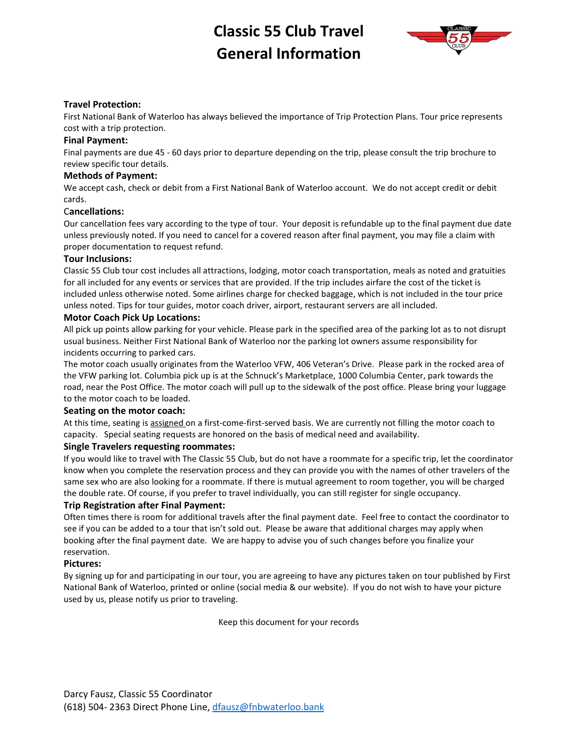# **Classic 55 Club Travel General Information**



### **Travel Protection:**

First National Bank of Waterloo has always believed the importance of Trip Protection Plans. Tour price represents cost with a trip protection.

### **Final Payment:**

Final payments are due 45 - 60 days prior to departure depending on the trip, please consult the trip brochure to review specific tour details.

### **Methods of Payment:**

We accept cash, check or debit from a First National Bank of Waterloo account. We do not accept credit or debit cards.

### C**ancellations:**

Our cancellation fees vary according to the type of tour. Your deposit is refundable up to the final payment due date unless previously noted. If you need to cancel for a covered reason after final payment, you may file a claim with proper documentation to request refund.

### **Tour Inclusions:**

Classic 55 Club tour cost includes all attractions, lodging, motor coach transportation, meals as noted and gratuities for all included for any events or services that are provided. If the trip includes airfare the cost of the ticket is included unless otherwise noted. Some airlines charge for checked baggage, which is not included in the tour price unless noted. Tips for tour guides, motor coach driver, airport, restaurant servers are all included.

### **Motor Coach Pick Up Locations:**

All pick up points allow parking for your vehicle. Please park in the specified area of the parking lot as to not disrupt usual business. Neither First National Bank of Waterloo nor the parking lot owners assume responsibility for incidents occurring to parked cars.

The motor coach usually originates from the Waterloo VFW, 406 Veteran's Drive. Please park in the rocked area of the VFW parking lot. Columbia pick up is at the Schnuck's Marketplace, 1000 Columbia Center, park towards the road, near the Post Office. The motor coach will pull up to the sidewalk of the post office. Please bring your luggage to the motor coach to be loaded.

### **Seating on the motor coach:**

At this time, seating is assigned on a first-come-first-served basis. We are currently not filling the motor coach to capacity. Special seating requests are honored on the basis of medical need and availability.

### **Single Travelers requesting roommates:**

If you would like to travel with The Classic 55 Club, but do not have a roommate for a specific trip, let the coordinator know when you complete the reservation process and they can provide you with the names of other travelers of the same sex who are also looking for a roommate. If there is mutual agreement to room together, you will be charged the double rate. Of course, if you prefer to travel individually, you can still register for single occupancy.

### **Trip Registration after Final Payment:**

Often times there is room for additional travels after the final payment date. Feel free to contact the coordinator to see if you can be added to a tour that isn't sold out. Please be aware that additional charges may apply when booking after the final payment date. We are happy to advise you of such changes before you finalize your reservation.

### **Pictures:**

By signing up for and participating in our tour, you are agreeing to have any pictures taken on tour published by First National Bank of Waterloo, printed or online (social media & our website). If you do not wish to have your picture used by us, please notify us prior to traveling.

Keep this document for your records